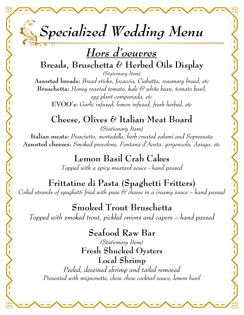

## **Breads, Bruschetta & Herbed Oils Display**

*(Stationary Item)*

**Assorted breads:** *Bread sticks, focaccia, Ciabatta, rosemary bread, etc*  **Bruschetta:** *Honey roasted tomato, kale & white bean, tomato basil, egg plant companada, etc* **EVOO's:** *Garlic infused, lemon infused, fresh herbed, etc* 

## **Cheese, Olives & Italian Meat Board**

*(Stationary Item)* **Italian meats:** *Prosciutto, mortadella, herb crusted salami and Sopressata*  **Assorted cheeses:** *Smoked provolone, Fontana d'Aosta, gorgonzola, Asiago, etc*

> **Lemon Basil Crab Cakes** *Topped with a spicy mustard sauce - hand passed*

**Frittatine di Pasta (Spaghetti Fritters)** *Coiled strands of spaghetti fried with peas & cheese in a creamy sauce – hand passed* 

**Smoked Trout Bruschetta** *Topped with smoked trout, pickled onions and capers – hand passed*

> **Seafood Raw Bar** *(Stationary Item)*

**Fresh Shucked Oysters Local Shrimp** *Peeled, deveined shrimp and tailed removed*

*Presented with mignonette, chow chow cocktail sauce, lemon basil*